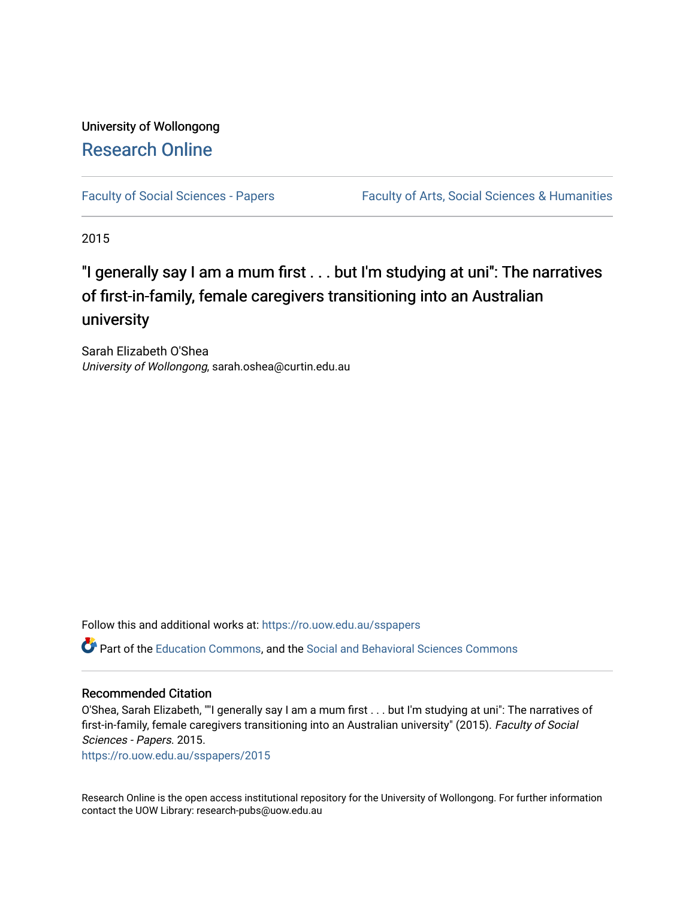## University of Wollongong [Research Online](https://ro.uow.edu.au/)

[Faculty of Social Sciences - Papers](https://ro.uow.edu.au/sspapers) Faculty of Arts, Social Sciences & Humanities

2015

# "I generally say I am a mum first . . . but I'm studying at uni": The narratives of first-in-family, female caregivers transitioning into an Australian university

Sarah Elizabeth O'Shea University of Wollongong, sarah.oshea@curtin.edu.au

Follow this and additional works at: [https://ro.uow.edu.au/sspapers](https://ro.uow.edu.au/sspapers?utm_source=ro.uow.edu.au%2Fsspapers%2F2015&utm_medium=PDF&utm_campaign=PDFCoverPages) 

Part of the [Education Commons](http://network.bepress.com/hgg/discipline/784?utm_source=ro.uow.edu.au%2Fsspapers%2F2015&utm_medium=PDF&utm_campaign=PDFCoverPages), and the [Social and Behavioral Sciences Commons](http://network.bepress.com/hgg/discipline/316?utm_source=ro.uow.edu.au%2Fsspapers%2F2015&utm_medium=PDF&utm_campaign=PDFCoverPages) 

#### Recommended Citation

O'Shea, Sarah Elizabeth, ""I generally say I am a mum first . . . but I'm studying at uni": The narratives of first-in-family, female caregivers transitioning into an Australian university" (2015). Faculty of Social Sciences - Papers. 2015.

[https://ro.uow.edu.au/sspapers/2015](https://ro.uow.edu.au/sspapers/2015?utm_source=ro.uow.edu.au%2Fsspapers%2F2015&utm_medium=PDF&utm_campaign=PDFCoverPages)

Research Online is the open access institutional repository for the University of Wollongong. For further information contact the UOW Library: research-pubs@uow.edu.au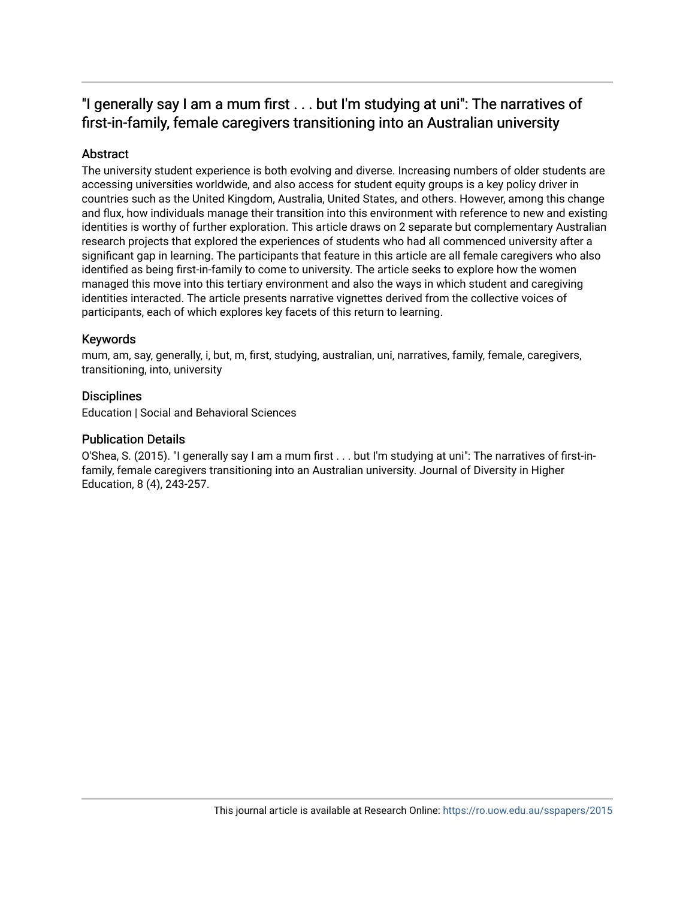## "I generally say I am a mum first . . . but I'm studying at uni": The narratives of first-in-family, female caregivers transitioning into an Australian university

## Abstract

The university student experience is both evolving and diverse. Increasing numbers of older students are accessing universities worldwide, and also access for student equity groups is a key policy driver in countries such as the United Kingdom, Australia, United States, and others. However, among this change and flux, how individuals manage their transition into this environment with reference to new and existing identities is worthy of further exploration. This article draws on 2 separate but complementary Australian research projects that explored the experiences of students who had all commenced university after a significant gap in learning. The participants that feature in this article are all female caregivers who also identified as being first-in-family to come to university. The article seeks to explore how the women managed this move into this tertiary environment and also the ways in which student and caregiving identities interacted. The article presents narrative vignettes derived from the collective voices of participants, each of which explores key facets of this return to learning.

## Keywords

mum, am, say, generally, i, but, m, first, studying, australian, uni, narratives, family, female, caregivers, transitioning, into, university

## **Disciplines**

Education | Social and Behavioral Sciences

## Publication Details

O'Shea, S. (2015). "I generally say I am a mum first . . . but I'm studying at uni": The narratives of first-infamily, female caregivers transitioning into an Australian university. Journal of Diversity in Higher Education, 8 (4), 243-257.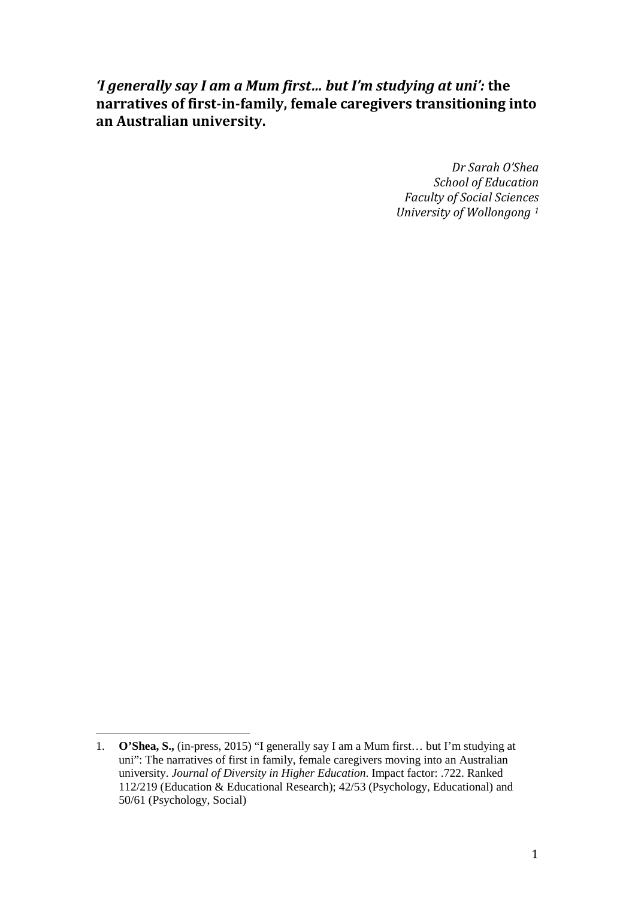*'I generally say I am a Mum first… but I'm studying at uni':* **the narratives of first-in-family, female caregivers transitioning into an Australian university.**

> *Dr Sarah O'Shea School of Education Faculty of Social Sciences University of Wollongong [1](#page-2-0)*

<span id="page-2-1"></span><span id="page-2-0"></span>l 1. **O'Shea, S.,** (in-press, 2015) "I generally say I am a Mum first… but I'm studying at uni": The narratives of first in family, female caregivers moving into an Australian university. *Journal of Diversity in Higher Education*. Impact factor: .722. Ranked 112/219 (Education & Educational Research); 42/53 (Psychology, Educational) and 50/61 (Psychology, Social)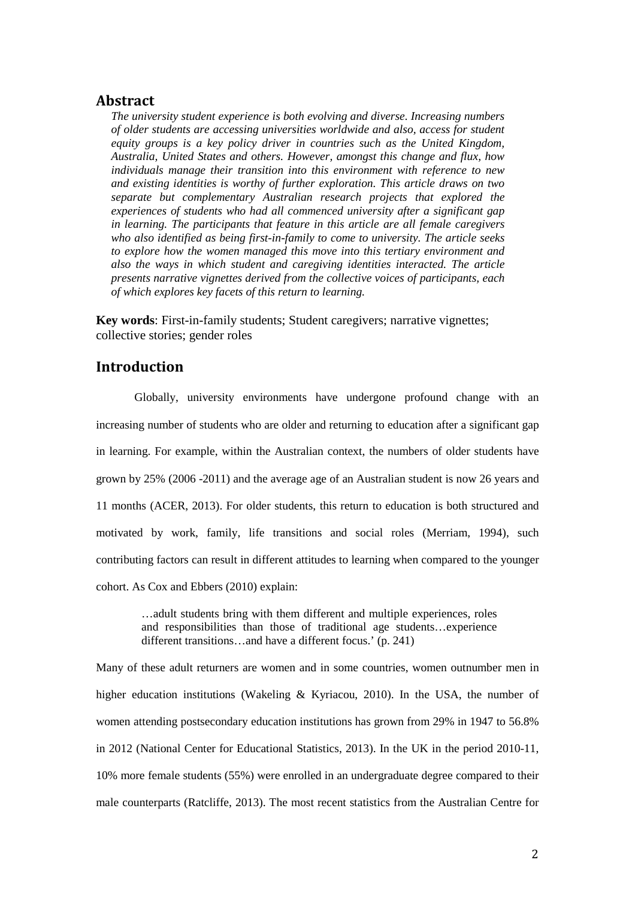## **Abstract**

*The university student experience is both evolving and diverse. Increasing numbers of older students are accessing universities worldwide and also, access for student equity groups is a key policy driver in countries such as the United Kingdom, Australia, United States and others. However, amongst this change and flux, how individuals manage their transition into this environment with reference to new and existing identities is worthy of further exploration. This article draws on two separate but complementary Australian research projects that explored the experiences of students who had all commenced university after a significant gap in learning. The participants that feature in this article are all female caregivers who also identified as being first-in-family to come to university. The article seeks to explore how the women managed this move into this tertiary environment and also the ways in which student and caregiving identities interacted. The article presents narrative vignettes derived from the collective voices of participants, each of which explores key facets of this return to learning.*

**Key words**: First-in-family students; Student caregivers; narrative vignettes; collective stories; gender roles

## **Introduction**

Globally, university environments have undergone profound change with an increasing number of students who are older and returning to education after a significant gap in learning. For example, within the Australian context, the numbers of older students have grown by 25% (2006 -2011) and the average age of an Australian student is now 26 years and 11 months (ACER, 2013). For older students, this return to education is both structured and motivated by work, family, life transitions and social roles (Merriam, 1994), such contributing factors can result in different attitudes to learning when compared to the younger cohort. As Cox and Ebbers (2010) explain:

…adult students bring with them different and multiple experiences, roles and responsibilities than those of traditional age students…experience different transitions…and have a different focus.' (p. 241)

Many of these adult returners are women and in some countries, women outnumber men in higher education institutions (Wakeling & Kyriacou, 2010). In the USA, the number of women attending postsecondary education institutions has grown from 29% in 1947 to 56.8% in 2012 (National Center for Educational Statistics, 2013). In the UK in the period 2010-11, 10% more female students (55%) were enrolled in an undergraduate degree compared to their male counterparts (Ratcliffe, 2013). The most recent statistics from the Australian Centre for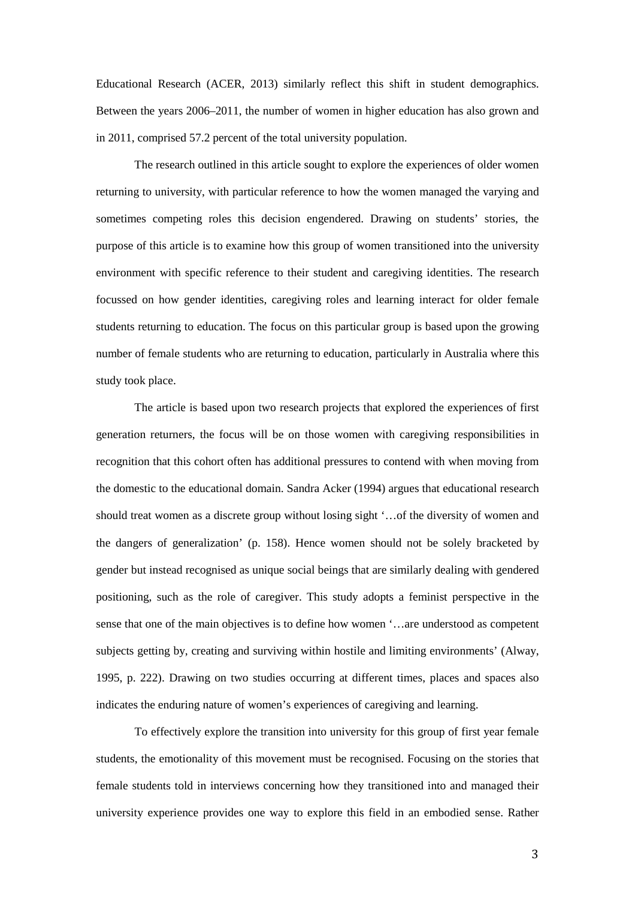Educational Research (ACER, 2013) similarly reflect this shift in student demographics. Between the years 2006–2011, the number of women in higher education has also grown and in 2011, comprised 57.2 percent of the total university population.

The research outlined in this article sought to explore the experiences of older women returning to university, with particular reference to how the women managed the varying and sometimes competing roles this decision engendered. Drawing on students' stories, the purpose of this article is to examine how this group of women transitioned into the university environment with specific reference to their student and caregiving identities. The research focussed on how gender identities, caregiving roles and learning interact for older female students returning to education. The focus on this particular group is based upon the growing number of female students who are returning to education, particularly in Australia where this study took place.

The article is based upon two research projects that explored the experiences of first generation returners, the focus will be on those women with caregiving responsibilities in recognition that this cohort often has additional pressures to contend with when moving from the domestic to the educational domain. Sandra Acker (1994) argues that educational research should treat women as a discrete group without losing sight '…of the diversity of women and the dangers of generalization' (p. 158). Hence women should not be solely bracketed by gender but instead recognised as unique social beings that are similarly dealing with gendered positioning, such as the role of caregiver. This study adopts a feminist perspective in the sense that one of the main objectives is to define how women '…are understood as competent subjects getting by, creating and surviving within hostile and limiting environments' (Alway, 1995, p. 222). Drawing on two studies occurring at different times, places and spaces also indicates the enduring nature of women's experiences of caregiving and learning.

To effectively explore the transition into university for this group of first year female students, the emotionality of this movement must be recognised. Focusing on the stories that female students told in interviews concerning how they transitioned into and managed their university experience provides one way to explore this field in an embodied sense. Rather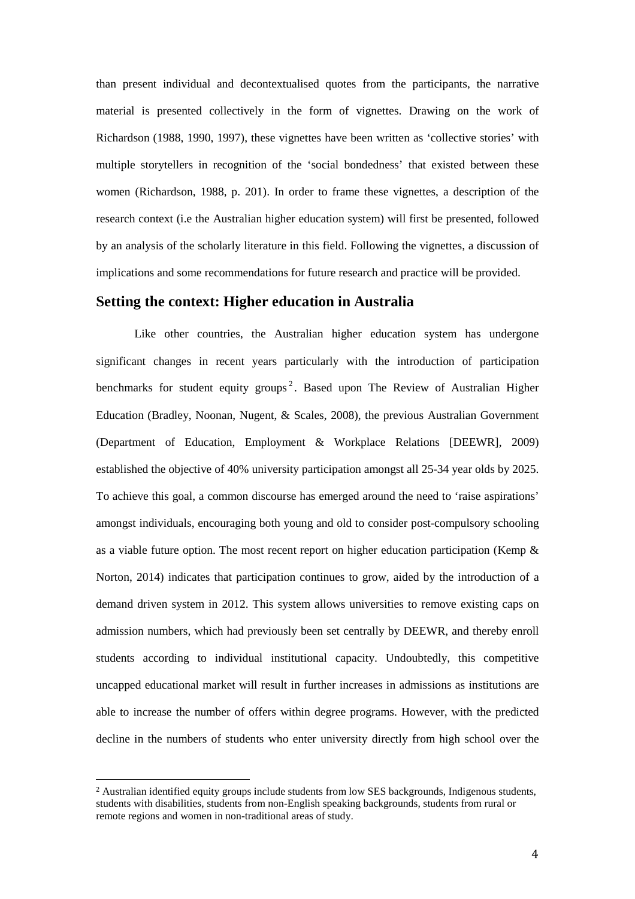than present individual and decontextualised quotes from the participants, the narrative material is presented collectively in the form of vignettes. Drawing on the work of Richardson (1988, 1990, 1997), these vignettes have been written as 'collective stories' with multiple storytellers in recognition of the 'social bondedness' that existed between these women (Richardson, 1988, p. 201). In order to frame these vignettes, a description of the research context (i.e the Australian higher education system) will first be presented, followed by an analysis of the scholarly literature in this field. Following the vignettes, a discussion of implications and some recommendations for future research and practice will be provided.

## **Setting the context: Higher education in Australia**

Like other countries, the Australian higher education system has undergone significant changes in recent years particularly with the introduction of participation benchmarks for student equity groups<sup>[2](#page-2-1)</sup>. Based upon The Review of Australian Higher Education (Bradley, Noonan, Nugent, & Scales, 2008), the previous Australian Government (Department of Education, Employment & Workplace Relations [DEEWR], 2009) established the objective of 40% university participation amongst all 25-34 year olds by 2025. To achieve this goal, a common discourse has emerged around the need to 'raise aspirations' amongst individuals, encouraging both young and old to consider post-compulsory schooling as a viable future option. The most recent report on higher education participation (Kemp  $\&$ Norton, 2014) indicates that participation continues to grow, aided by the introduction of a demand driven system in 2012. This system allows universities to remove existing caps on admission numbers, which had previously been set centrally by DEEWR, and thereby enroll students according to individual institutional capacity. Undoubtedly, this competitive uncapped educational market will result in further increases in admissions as institutions are able to increase the number of offers within degree programs. However, with the predicted decline in the numbers of students who enter university directly from high school over the

<span id="page-5-0"></span><sup>&</sup>lt;sup>2</sup> Australian identified equity groups include students from low SES backgrounds, Indigenous students, students with disabilities, students from non-English speaking backgrounds, students from rural or remote regions and women in non-traditional areas of study.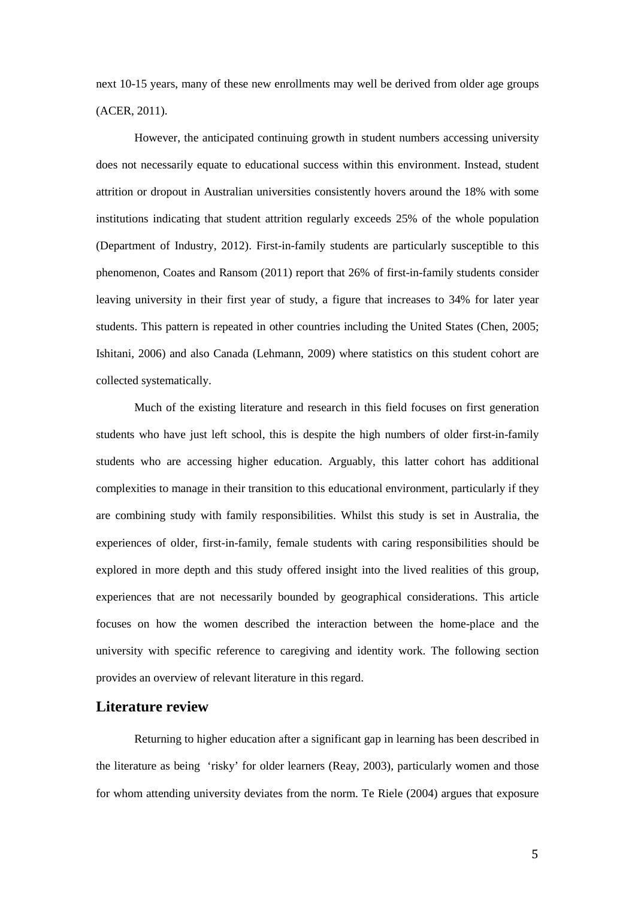next 10-15 years, many of these new enrollments may well be derived from older age groups (ACER, 2011).

However, the anticipated continuing growth in student numbers accessing university does not necessarily equate to educational success within this environment. Instead, student attrition or dropout in Australian universities consistently hovers around the 18% with some institutions indicating that student attrition regularly exceeds 25% of the whole population (Department of Industry, 2012). First-in-family students are particularly susceptible to this phenomenon, Coates and Ransom (2011) report that 26% of first-in-family students consider leaving university in their first year of study, a figure that increases to 34% for later year students. This pattern is repeated in other countries including the United States (Chen, 2005; Ishitani, 2006) and also Canada (Lehmann, 2009) where statistics on this student cohort are collected systematically.

Much of the existing literature and research in this field focuses on first generation students who have just left school, this is despite the high numbers of older first-in-family students who are accessing higher education. Arguably, this latter cohort has additional complexities to manage in their transition to this educational environment, particularly if they are combining study with family responsibilities. Whilst this study is set in Australia, the experiences of older, first-in-family, female students with caring responsibilities should be explored in more depth and this study offered insight into the lived realities of this group, experiences that are not necessarily bounded by geographical considerations. This article focuses on how the women described the interaction between the home-place and the university with specific reference to caregiving and identity work. The following section provides an overview of relevant literature in this regard.

## **Literature review**

Returning to higher education after a significant gap in learning has been described in the literature as being 'risky' for older learners (Reay, 2003), particularly women and those for whom attending university deviates from the norm. Te Riele (2004) argues that exposure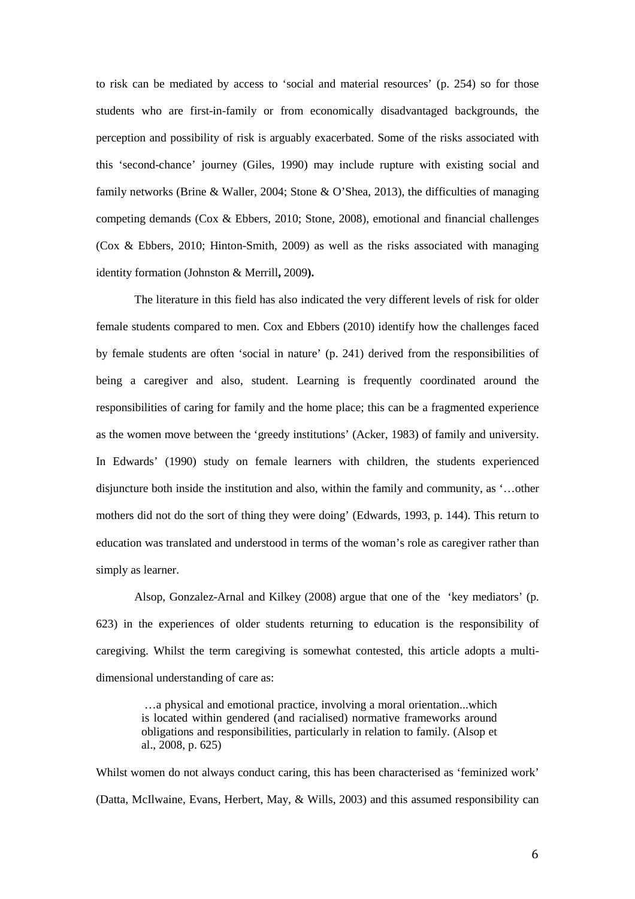to risk can be mediated by access to 'social and material resources' (p. 254) so for those students who are first-in-family or from economically disadvantaged backgrounds, the perception and possibility of risk is arguably exacerbated. Some of the risks associated with this 'second-chance' journey (Giles, 1990) may include rupture with existing social and family networks (Brine & Waller, 2004; Stone & O'Shea, 2013), the difficulties of managing competing demands (Cox & Ebbers, 2010; Stone, 2008), emotional and financial challenges (Cox & Ebbers, 2010; Hinton-Smith, 2009) as well as the risks associated with managing identity formation (Johnston & Merrill**,** 2009**).**

The literature in this field has also indicated the very different levels of risk for older female students compared to men. Cox and Ebbers (2010) identify how the challenges faced by female students are often 'social in nature' (p. 241) derived from the responsibilities of being a caregiver and also, student. Learning is frequently coordinated around the responsibilities of caring for family and the home place; this can be a fragmented experience as the women move between the 'greedy institutions' (Acker, 1983) of family and university. In Edwards' (1990) study on female learners with children, the students experienced disjuncture both inside the institution and also, within the family and community, as '…other mothers did not do the sort of thing they were doing' (Edwards, 1993, p. 144). This return to education was translated and understood in terms of the woman's role as caregiver rather than simply as learner.

Alsop, Gonzalez-Arnal and Kilkey (2008) argue that one of the 'key mediators' (p. 623) in the experiences of older students returning to education is the responsibility of caregiving. Whilst the term caregiving is somewhat contested, this article adopts a multidimensional understanding of care as:

> …a physical and emotional practice, involving a moral orientation...which is located within gendered (and racialised) normative frameworks around obligations and responsibilities, particularly in relation to family. (Alsop et al., 2008, p. 625)

Whilst women do not always conduct caring, this has been characterised as 'feminized work' (Datta, McIlwaine, Evans, Herbert, May, & Wills, 2003) and this assumed responsibility can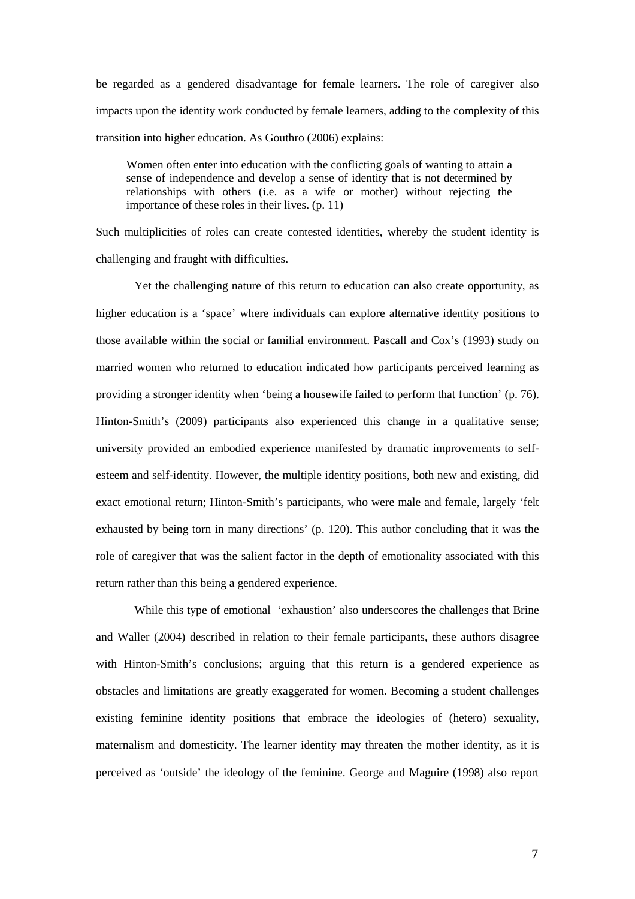be regarded as a gendered disadvantage for female learners. The role of caregiver also impacts upon the identity work conducted by female learners, adding to the complexity of this transition into higher education. As Gouthro (2006) explains:

Women often enter into education with the conflicting goals of wanting to attain a sense of independence and develop a sense of identity that is not determined by relationships with others (i.e. as a wife or mother) without rejecting the importance of these roles in their lives. (p. 11)

Such multiplicities of roles can create contested identities, whereby the student identity is challenging and fraught with difficulties.

Yet the challenging nature of this return to education can also create opportunity, as higher education is a 'space' where individuals can explore alternative identity positions to those available within the social or familial environment. Pascall and Cox's (1993) study on married women who returned to education indicated how participants perceived learning as providing a stronger identity when 'being a housewife failed to perform that function' (p. 76). Hinton-Smith's (2009) participants also experienced this change in a qualitative sense; university provided an embodied experience manifested by dramatic improvements to selfesteem and self-identity. However, the multiple identity positions, both new and existing, did exact emotional return; Hinton-Smith's participants, who were male and female, largely 'felt exhausted by being torn in many directions' (p. 120). This author concluding that it was the role of caregiver that was the salient factor in the depth of emotionality associated with this return rather than this being a gendered experience.

While this type of emotional 'exhaustion' also underscores the challenges that Brine and Waller (2004) described in relation to their female participants, these authors disagree with Hinton-Smith's conclusions; arguing that this return is a gendered experience as obstacles and limitations are greatly exaggerated for women. Becoming a student challenges existing feminine identity positions that embrace the ideologies of (hetero) sexuality, maternalism and domesticity. The learner identity may threaten the mother identity, as it is perceived as 'outside' the ideology of the feminine. George and Maguire (1998) also report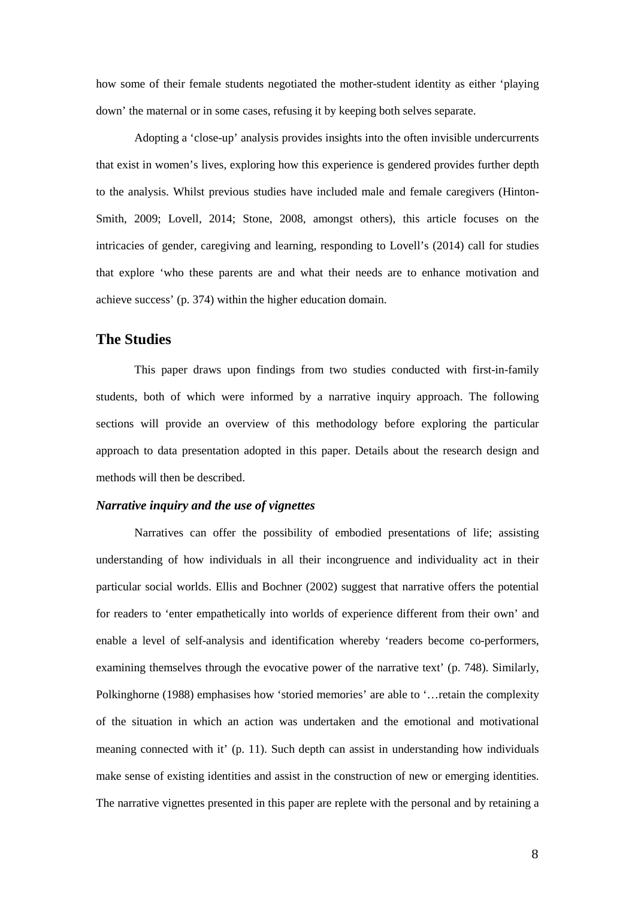how some of their female students negotiated the mother-student identity as either 'playing down' the maternal or in some cases, refusing it by keeping both selves separate.

Adopting a 'close-up' analysis provides insights into the often invisible undercurrents that exist in women's lives, exploring how this experience is gendered provides further depth to the analysis. Whilst previous studies have included male and female caregivers (Hinton-Smith, 2009; Lovell, 2014; Stone, 2008, amongst others), this article focuses on the intricacies of gender, caregiving and learning, responding to Lovell's (2014) call for studies that explore 'who these parents are and what their needs are to enhance motivation and achieve success' (p. 374) within the higher education domain.

## **The Studies**

This paper draws upon findings from two studies conducted with first-in-family students, both of which were informed by a narrative inquiry approach. The following sections will provide an overview of this methodology before exploring the particular approach to data presentation adopted in this paper. Details about the research design and methods will then be described.

#### *Narrative inquiry and the use of vignettes*

Narratives can offer the possibility of embodied presentations of life; assisting understanding of how individuals in all their incongruence and individuality act in their particular social worlds. Ellis and Bochner (2002) suggest that narrative offers the potential for readers to 'enter empathetically into worlds of experience different from their own' and enable a level of self-analysis and identification whereby 'readers become co-performers, examining themselves through the evocative power of the narrative text' (p. 748). Similarly, Polkinghorne (1988) emphasises how 'storied memories' are able to '…retain the complexity of the situation in which an action was undertaken and the emotional and motivational meaning connected with it' (p. 11). Such depth can assist in understanding how individuals make sense of existing identities and assist in the construction of new or emerging identities. The narrative vignettes presented in this paper are replete with the personal and by retaining a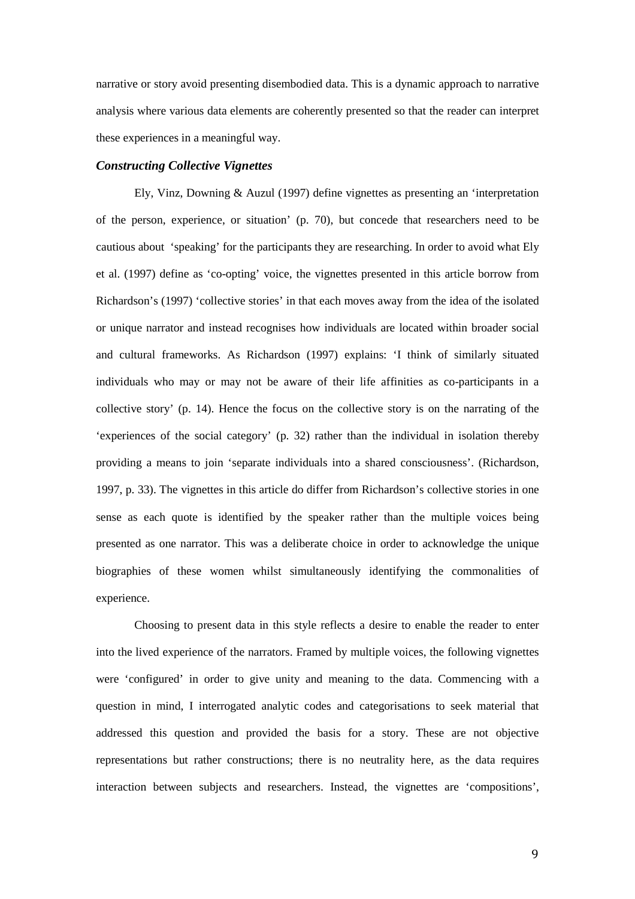narrative or story avoid presenting disembodied data. This is a dynamic approach to narrative analysis where various data elements are coherently presented so that the reader can interpret these experiences in a meaningful way.

#### *Constructing Collective Vignettes*

Ely, Vinz, Downing & Auzul (1997) define vignettes as presenting an 'interpretation of the person, experience, or situation' (p. 70), but concede that researchers need to be cautious about 'speaking' for the participants they are researching. In order to avoid what Ely et al. (1997) define as 'co-opting' voice, the vignettes presented in this article borrow from Richardson's (1997) 'collective stories' in that each moves away from the idea of the isolated or unique narrator and instead recognises how individuals are located within broader social and cultural frameworks. As Richardson (1997) explains: 'I think of similarly situated individuals who may or may not be aware of their life affinities as co-participants in a collective story' (p. 14). Hence the focus on the collective story is on the narrating of the 'experiences of the social category' (p. 32) rather than the individual in isolation thereby providing a means to join 'separate individuals into a shared consciousness'. (Richardson, 1997, p. 33). The vignettes in this article do differ from Richardson's collective stories in one sense as each quote is identified by the speaker rather than the multiple voices being presented as one narrator. This was a deliberate choice in order to acknowledge the unique biographies of these women whilst simultaneously identifying the commonalities of experience.

Choosing to present data in this style reflects a desire to enable the reader to enter into the lived experience of the narrators. Framed by multiple voices, the following vignettes were 'configured' in order to give unity and meaning to the data. Commencing with a question in mind, I interrogated analytic codes and categorisations to seek material that addressed this question and provided the basis for a story. These are not objective representations but rather constructions; there is no neutrality here, as the data requires interaction between subjects and researchers. Instead, the vignettes are 'compositions',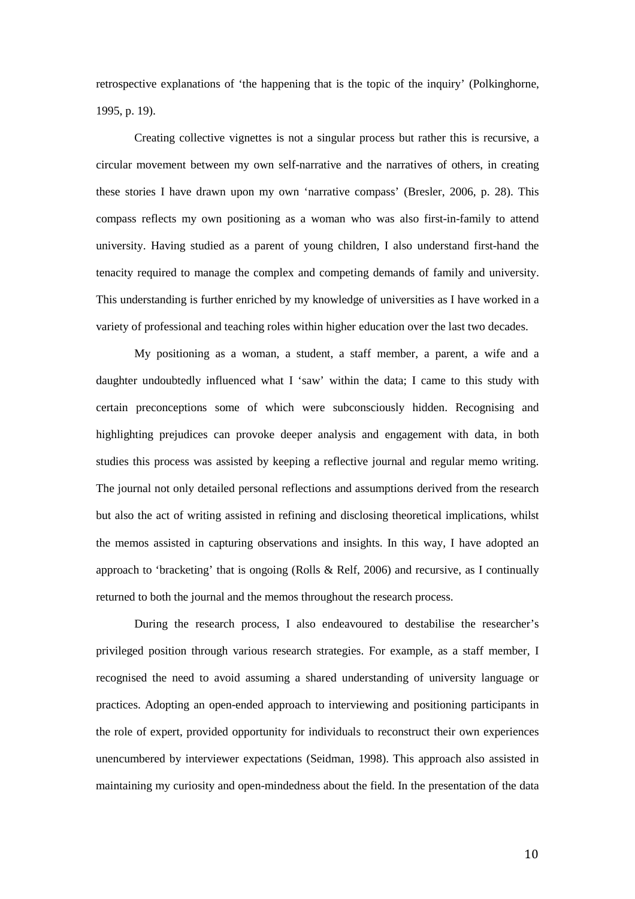retrospective explanations of 'the happening that is the topic of the inquiry' (Polkinghorne, 1995, p. 19).

Creating collective vignettes is not a singular process but rather this is recursive, a circular movement between my own self-narrative and the narratives of others, in creating these stories I have drawn upon my own 'narrative compass' (Bresler, 2006, p. 28). This compass reflects my own positioning as a woman who was also first-in-family to attend university. Having studied as a parent of young children, I also understand first-hand the tenacity required to manage the complex and competing demands of family and university. This understanding is further enriched by my knowledge of universities as I have worked in a variety of professional and teaching roles within higher education over the last two decades.

My positioning as a woman, a student, a staff member, a parent, a wife and a daughter undoubtedly influenced what I 'saw' within the data; I came to this study with certain preconceptions some of which were subconsciously hidden. Recognising and highlighting prejudices can provoke deeper analysis and engagement with data, in both studies this process was assisted by keeping a reflective journal and regular memo writing. The journal not only detailed personal reflections and assumptions derived from the research but also the act of writing assisted in refining and disclosing theoretical implications, whilst the memos assisted in capturing observations and insights. In this way, I have adopted an approach to 'bracketing' that is ongoing (Rolls & Relf, 2006) and recursive, as I continually returned to both the journal and the memos throughout the research process.

During the research process, I also endeavoured to destabilise the researcher's privileged position through various research strategies. For example, as a staff member, I recognised the need to avoid assuming a shared understanding of university language or practices. Adopting an open-ended approach to interviewing and positioning participants in the role of expert, provided opportunity for individuals to reconstruct their own experiences unencumbered by interviewer expectations (Seidman, 1998). This approach also assisted in maintaining my curiosity and open-mindedness about the field. In the presentation of the data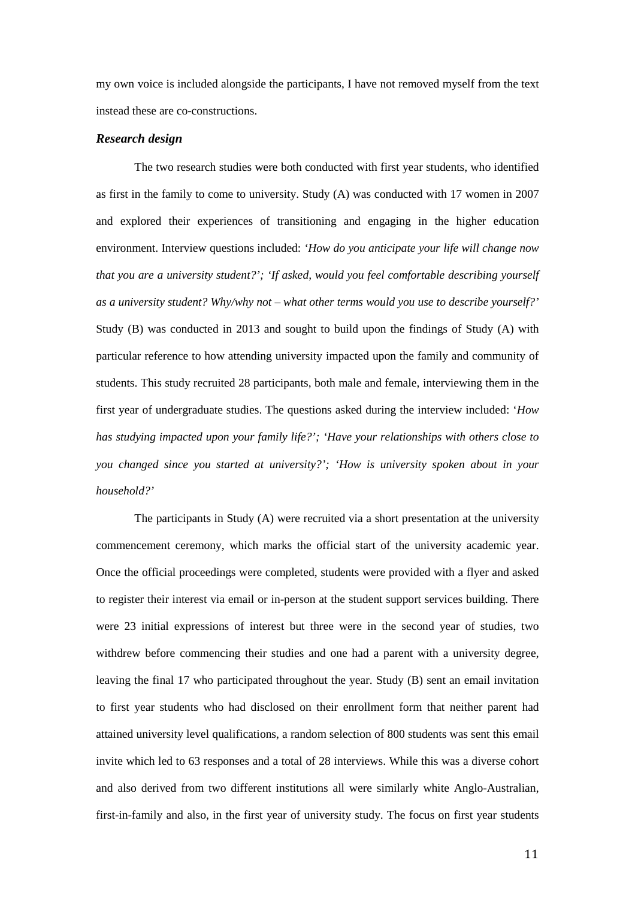my own voice is included alongside the participants, I have not removed myself from the text instead these are co-constructions.

#### *Research design*

The two research studies were both conducted with first year students, who identified as first in the family to come to university. Study (A) was conducted with 17 women in 2007 and explored their experiences of transitioning and engaging in the higher education environment. Interview questions included: *'How do you anticipate your life will change now that you are a university student?'; 'If asked, would you feel comfortable describing yourself as a university student? Why/why not – what other terms would you use to describe yourself?'* Study (B) was conducted in 2013 and sought to build upon the findings of Study (A) with particular reference to how attending university impacted upon the family and community of students. This study recruited 28 participants, both male and female, interviewing them in the first year of undergraduate studies. The questions asked during the interview included: '*How has studying impacted upon your family life?'; 'Have your relationships with others close to you changed since you started at university?'; 'How is university spoken about in your household?'*

The participants in Study (A) were recruited via a short presentation at the university commencement ceremony, which marks the official start of the university academic year. Once the official proceedings were completed, students were provided with a flyer and asked to register their interest via email or in-person at the student support services building. There were 23 initial expressions of interest but three were in the second year of studies, two withdrew before commencing their studies and one had a parent with a university degree, leaving the final 17 who participated throughout the year. Study (B) sent an email invitation to first year students who had disclosed on their enrollment form that neither parent had attained university level qualifications, a random selection of 800 students was sent this email invite which led to 63 responses and a total of 28 interviews. While this was a diverse cohort and also derived from two different institutions all were similarly white Anglo-Australian, first-in-family and also, in the first year of university study. The focus on first year students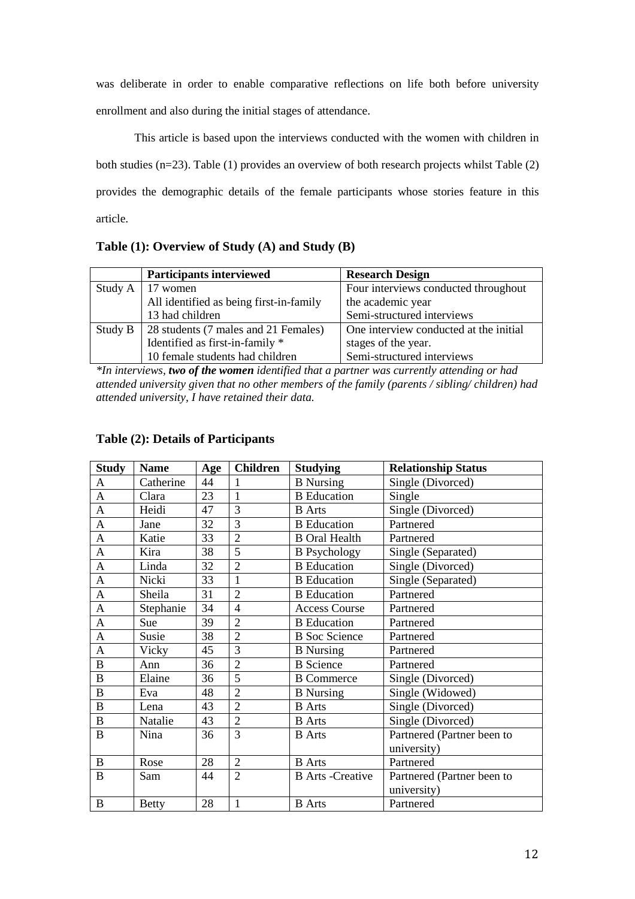was deliberate in order to enable comparative reflections on life both before university enrollment and also during the initial stages of attendance.

This article is based upon the interviews conducted with the women with children in both studies (n=23). Table (1) provides an overview of both research projects whilst Table (2) provides the demographic details of the female participants whose stories feature in this article.

**Table (1): Overview of Study (A) and Study (B)**

| <b>Participants interviewed</b>                | <b>Research Design</b>                 |  |
|------------------------------------------------|----------------------------------------|--|
| Study A   17 women                             | Four interviews conducted throughout   |  |
| All identified as being first-in-family        | the academic year                      |  |
| 13 had children                                | Semi-structured interviews             |  |
| Study B   28 students (7 males and 21 Females) | One interview conducted at the initial |  |
| Identified as first-in-family *                | stages of the year.                    |  |
| 10 female students had children                | Semi-structured interviews             |  |

*\*In interviews, two of the women identified that a partner was currently attending or had attended university given that no other members of the family (parents / sibling/ children) had attended university, I have retained their data.*

| <b>Study</b>   | <b>Name</b>  | Age | <b>Children</b> | <b>Studying</b>         | <b>Relationship Status</b> |  |
|----------------|--------------|-----|-----------------|-------------------------|----------------------------|--|
| A              | Catherine    | 44  |                 | <b>B</b> Nursing        | Single (Divorced)          |  |
| $\mathbf{A}$   | Clara        | 23  | $\mathbf{1}$    | <b>B</b> Education      | Single                     |  |
| $\overline{A}$ | Heidi        | 47  | 3               | <b>B</b> Arts           | Single (Divorced)          |  |
| $\mathbf{A}$   | Jane         | 32  | 3               | <b>B</b> Education      | Partnered                  |  |
| $\mathbf{A}$   | Katie        | 33  | $\overline{2}$  | <b>B</b> Oral Health    | Partnered                  |  |
| $\overline{A}$ | Kira         | 38  | $\overline{5}$  | <b>B</b> Psychology     | Single (Separated)         |  |
| $\overline{A}$ | Linda        | 32  | $\overline{2}$  | <b>B</b> Education      | Single (Divorced)          |  |
| $\mathbf{A}$   | Nicki        | 33  | $\mathbf{1}$    | <b>B</b> Education      | Single (Separated)         |  |
| $\mathbf{A}$   | Sheila       | 31  | $\overline{2}$  | <b>B</b> Education      | Partnered                  |  |
| $\mathbf{A}$   | Stephanie    | 34  | $\overline{4}$  | <b>Access Course</b>    | Partnered                  |  |
| $\mathbf{A}$   | Sue          | 39  | $\overline{2}$  | <b>B</b> Education      | Partnered                  |  |
| $\mathbf{A}$   | Susie        | 38  | $\overline{2}$  | <b>B</b> Soc Science    | Partnered                  |  |
| $\mathbf{A}$   | Vicky        | 45  | 3               | <b>B</b> Nursing        | Partnered                  |  |
| B              | Ann          | 36  | $\overline{2}$  | <b>B</b> Science        | Partnered                  |  |
| B              | Elaine       | 36  | $\overline{5}$  | <b>B</b> Commerce       | Single (Divorced)          |  |
| B              | Eva          | 48  | $\overline{2}$  | <b>B</b> Nursing        | Single (Widowed)           |  |
| B              | Lena         | 43  | $\overline{2}$  | <b>B</b> Arts           | Single (Divorced)          |  |
| $\mathbf B$    | Natalie      | 43  | $\overline{2}$  | <b>B</b> Arts           | Single (Divorced)          |  |
| $\bf{B}$       | Nina         | 36  | 3               | <b>B</b> Arts           | Partnered (Partner been to |  |
|                |              |     |                 |                         | university)                |  |
| $\bf{B}$       | Rose         | 28  | $\overline{2}$  | <b>B</b> Arts           | Partnered                  |  |
| B              | Sam          | 44  | $\overline{2}$  | <b>B</b> Arts -Creative | Partnered (Partner been to |  |
|                |              |     |                 |                         | university)                |  |
| B              | <b>Betty</b> | 28  | 1               | <b>B</b> Arts           | Partnered                  |  |

## **Table (2): Details of Participants**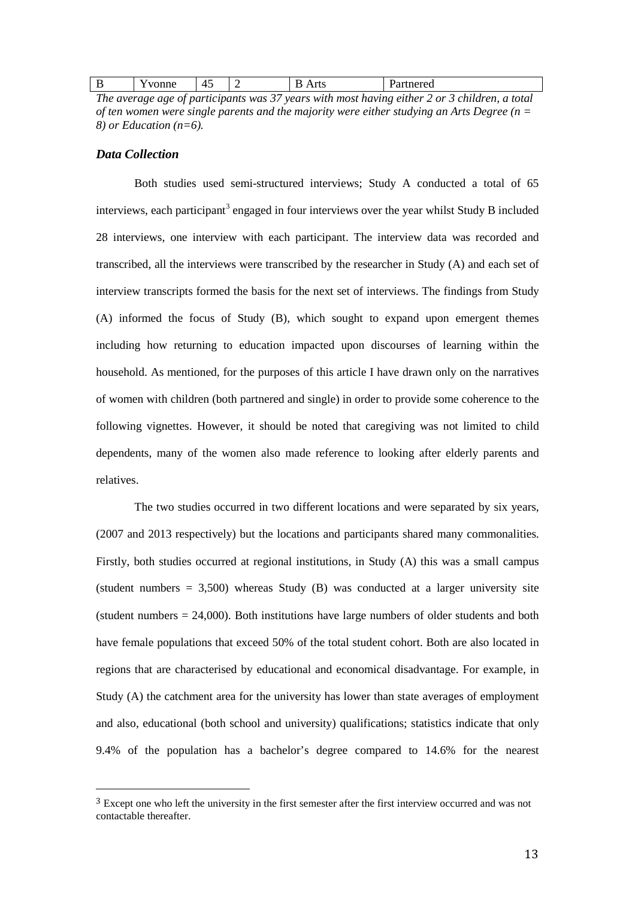| -      | -<br>ш | . .<br>$\sim$<br>┭<br>$\cdot$ $\cdot$ |               | -<br>$L_{1}$ $\mu$ | ں رہ<br> |  |
|--------|--------|---------------------------------------|---------------|--------------------|----------|--|
| $\sim$ |        |                                       | $\sim$ $\sim$ |                    |          |  |

*The average age of participants was 37 years with most having either 2 or 3 children, a total of ten women were single parents and the majority were either studying an Arts Degree (n = 8) or Education (n=6).*

#### *Data Collection*

Both studies used semi-structured interviews; Study A conducted a total of 65 interviews, each participant<sup>[3](#page-5-0)</sup> engaged in four interviews over the year whilst Study B included 28 interviews, one interview with each participant. The interview data was recorded and transcribed, all the interviews were transcribed by the researcher in Study (A) and each set of interview transcripts formed the basis for the next set of interviews. The findings from Study (A) informed the focus of Study (B), which sought to expand upon emergent themes including how returning to education impacted upon discourses of learning within the household. As mentioned, for the purposes of this article I have drawn only on the narratives of women with children (both partnered and single) in order to provide some coherence to the following vignettes. However, it should be noted that caregiving was not limited to child dependents, many of the women also made reference to looking after elderly parents and relatives.

The two studies occurred in two different locations and were separated by six years, (2007 and 2013 respectively) but the locations and participants shared many commonalities. Firstly, both studies occurred at regional institutions, in Study (A) this was a small campus (student numbers  $= 3,500$ ) whereas Study (B) was conducted at a larger university site (student numbers = 24,000). Both institutions have large numbers of older students and both have female populations that exceed 50% of the total student cohort. Both are also located in regions that are characterised by educational and economical disadvantage. For example, in Study (A) the catchment area for the university has lower than state averages of employment and also, educational (both school and university) qualifications; statistics indicate that only 9.4% of the population has a bachelor's degree compared to 14.6% for the nearest

<sup>&</sup>lt;sup>3</sup> Except one who left the university in the first semester after the first interview occurred and was not contactable thereafter.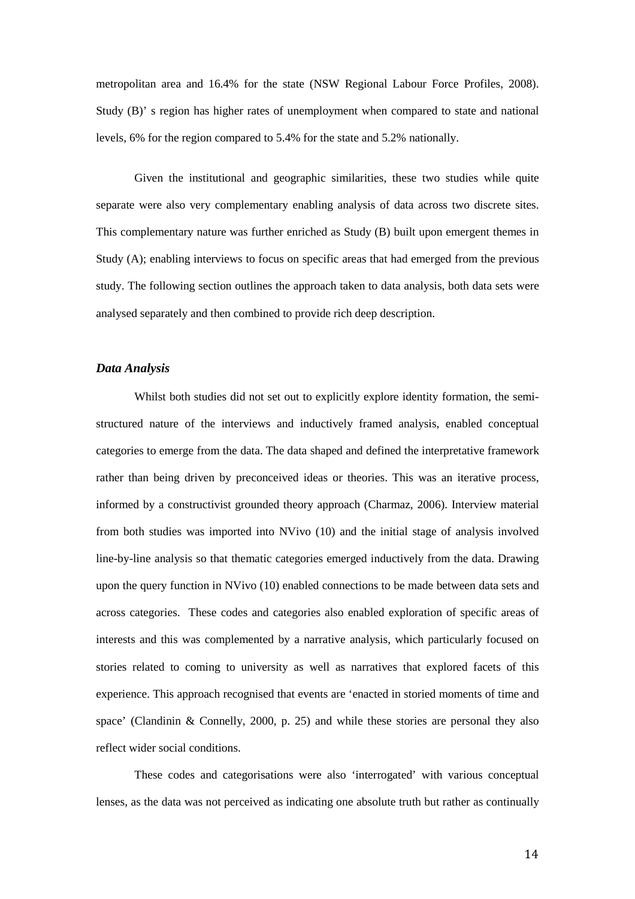metropolitan area and 16.4% for the state (NSW Regional Labour Force Profiles, 2008). Study (B)' s region has higher rates of unemployment when compared to state and national levels, 6% for the region compared to 5.4% for the state and 5.2% nationally.

Given the institutional and geographic similarities, these two studies while quite separate were also very complementary enabling analysis of data across two discrete sites. This complementary nature was further enriched as Study (B) built upon emergent themes in Study (A); enabling interviews to focus on specific areas that had emerged from the previous study. The following section outlines the approach taken to data analysis, both data sets were analysed separately and then combined to provide rich deep description.

#### *Data Analysis*

Whilst both studies did not set out to explicitly explore identity formation, the semistructured nature of the interviews and inductively framed analysis, enabled conceptual categories to emerge from the data. The data shaped and defined the interpretative framework rather than being driven by preconceived ideas or theories. This was an iterative process, informed by a constructivist grounded theory approach (Charmaz, 2006). Interview material from both studies was imported into NVivo (10) and the initial stage of analysis involved line-by-line analysis so that thematic categories emerged inductively from the data. Drawing upon the query function in NVivo (10) enabled connections to be made between data sets and across categories. These codes and categories also enabled exploration of specific areas of interests and this was complemented by a narrative analysis, which particularly focused on stories related to coming to university as well as narratives that explored facets of this experience. This approach recognised that events are 'enacted in storied moments of time and space' (Clandinin & Connelly, 2000, p. 25) and while these stories are personal they also reflect wider social conditions.

These codes and categorisations were also 'interrogated' with various conceptual lenses, as the data was not perceived as indicating one absolute truth but rather as continually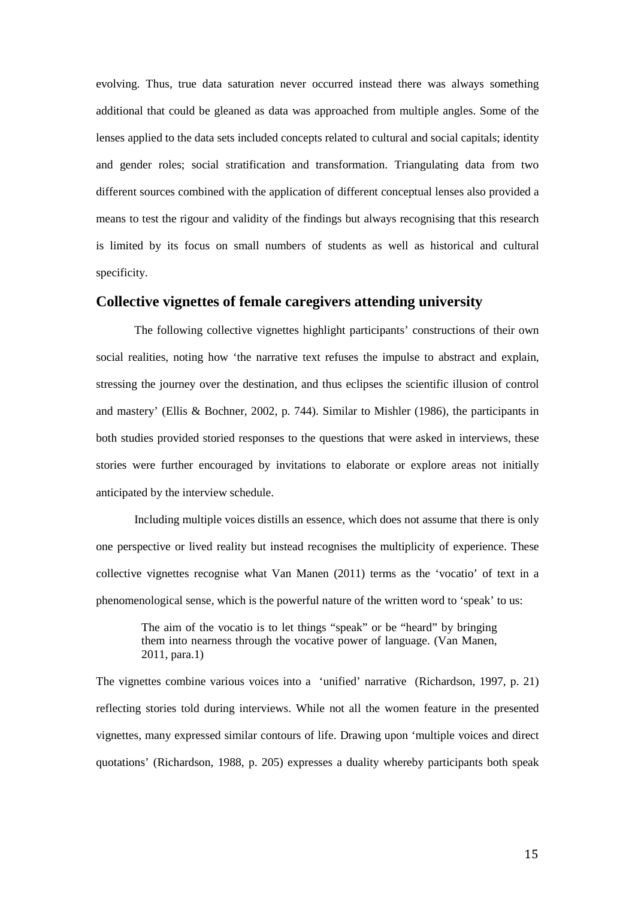evolving. Thus, true data saturation never occurred instead there was always something additional that could be gleaned as data was approached from multiple angles. Some of the lenses applied to the data sets included concepts related to cultural and social capitals; identity and gender roles; social stratification and transformation. Triangulating data from two different sources combined with the application of different conceptual lenses also provided a means to test the rigour and validity of the findings but always recognising that this research is limited by its focus on small numbers of students as well as historical and cultural specificity.

## **Collective vignettes of female caregivers attending university**

The following collective vignettes highlight participants' constructions of their own social realities, noting how 'the narrative text refuses the impulse to abstract and explain, stressing the journey over the destination, and thus eclipses the scientific illusion of control and mastery' (Ellis & Bochner, 2002, p. 744). Similar to Mishler (1986), the participants in both studies provided storied responses to the questions that were asked in interviews, these stories were further encouraged by invitations to elaborate or explore areas not initially anticipated by the interview schedule.

Including multiple voices distills an essence, which does not assume that there is only one perspective or lived reality but instead recognises the multiplicity of experience. These collective vignettes recognise what Van Manen (2011) terms as the 'vocatio' of text in a phenomenological sense, which is the powerful nature of the written word to 'speak' to us:

> The aim of the vocatio is to let things "speak" or be "heard" by bringing them into nearness through the vocative power of language. (Van Manen, 2011, para.1)

The vignettes combine various voices into a 'unified' narrative (Richardson, 1997, p. 21) reflecting stories told during interviews. While not all the women feature in the presented vignettes, many expressed similar contours of life. Drawing upon 'multiple voices and direct quotations' (Richardson, 1988, p. 205) expresses a duality whereby participants both speak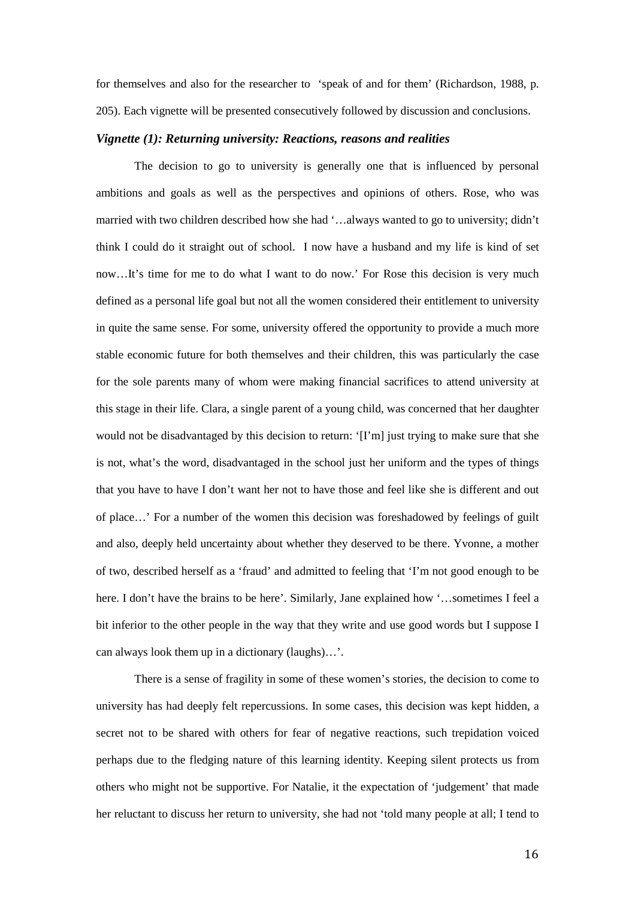for themselves and also for the researcher to 'speak of and for them' (Richardson, 1988, p. 205). Each vignette will be presented consecutively followed by discussion and conclusions.

#### *Vignette (1): Returning university: Reactions, reasons and realities*

The decision to go to university is generally one that is influenced by personal ambitions and goals as well as the perspectives and opinions of others. Rose, who was married with two children described how she had '…always wanted to go to university; didn't think I could do it straight out of school. I now have a husband and my life is kind of set now…It's time for me to do what I want to do now.' For Rose this decision is very much defined as a personal life goal but not all the women considered their entitlement to university in quite the same sense. For some, university offered the opportunity to provide a much more stable economic future for both themselves and their children, this was particularly the case for the sole parents many of whom were making financial sacrifices to attend university at this stage in their life. Clara, a single parent of a young child, was concerned that her daughter would not be disadvantaged by this decision to return: '[I'm] just trying to make sure that she is not, what's the word, disadvantaged in the school just her uniform and the types of things that you have to have I don't want her not to have those and feel like she is different and out of place…' For a number of the women this decision was foreshadowed by feelings of guilt and also, deeply held uncertainty about whether they deserved to be there. Yvonne, a mother of two, described herself as a 'fraud' and admitted to feeling that 'I'm not good enough to be here. I don't have the brains to be here'. Similarly, Jane explained how '...sometimes I feel a bit inferior to the other people in the way that they write and use good words but I suppose I can always look them up in a dictionary (laughs)…'.

There is a sense of fragility in some of these women's stories, the decision to come to university has had deeply felt repercussions. In some cases, this decision was kept hidden, a secret not to be shared with others for fear of negative reactions, such trepidation voiced perhaps due to the fledging nature of this learning identity. Keeping silent protects us from others who might not be supportive. For Natalie, it the expectation of 'judgement' that made her reluctant to discuss her return to university, she had not 'told many people at all; I tend to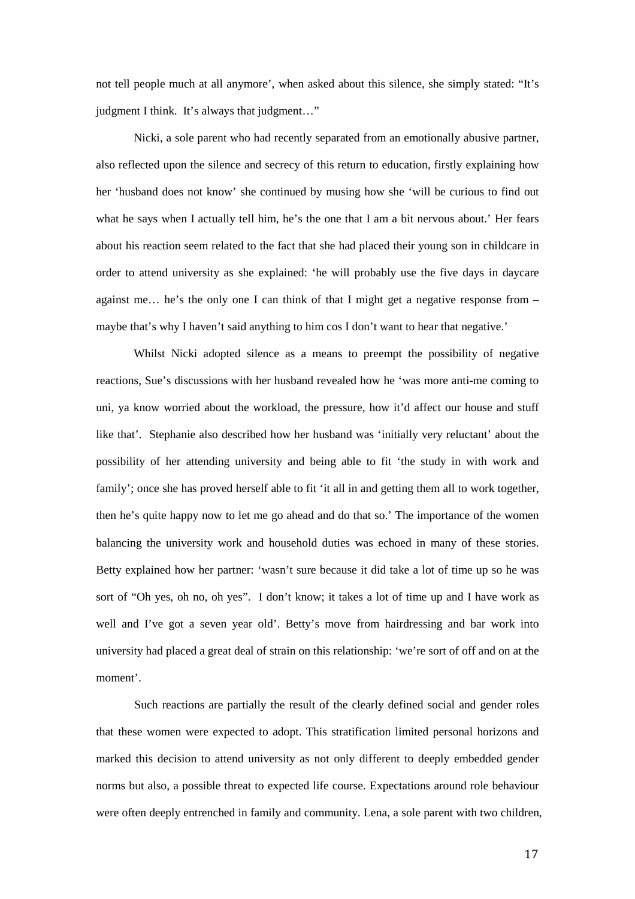not tell people much at all anymore', when asked about this silence, she simply stated: "It's judgment I think. It's always that judgment…"

Nicki, a sole parent who had recently separated from an emotionally abusive partner, also reflected upon the silence and secrecy of this return to education, firstly explaining how her 'husband does not know' she continued by musing how she 'will be curious to find out what he says when I actually tell him, he's the one that I am a bit nervous about.' Her fears about his reaction seem related to the fact that she had placed their young son in childcare in order to attend university as she explained: 'he will probably use the five days in daycare against me... he's the only one I can think of that I might get a negative response from  $$ maybe that's why I haven't said anything to him cos I don't want to hear that negative.'

Whilst Nicki adopted silence as a means to preempt the possibility of negative reactions, Sue's discussions with her husband revealed how he 'was more anti-me coming to uni, ya know worried about the workload, the pressure, how it'd affect our house and stuff like that'. Stephanie also described how her husband was 'initially very reluctant' about the possibility of her attending university and being able to fit 'the study in with work and family'; once she has proved herself able to fit 'it all in and getting them all to work together, then he's quite happy now to let me go ahead and do that so.' The importance of the women balancing the university work and household duties was echoed in many of these stories. Betty explained how her partner: 'wasn't sure because it did take a lot of time up so he was sort of "Oh yes, oh no, oh yes". I don't know; it takes a lot of time up and I have work as well and I've got a seven year old'. Betty's move from hairdressing and bar work into university had placed a great deal of strain on this relationship: 'we're sort of off and on at the moment'.

Such reactions are partially the result of the clearly defined social and gender roles that these women were expected to adopt. This stratification limited personal horizons and marked this decision to attend university as not only different to deeply embedded gender norms but also, a possible threat to expected life course. Expectations around role behaviour were often deeply entrenched in family and community. Lena, a sole parent with two children,

17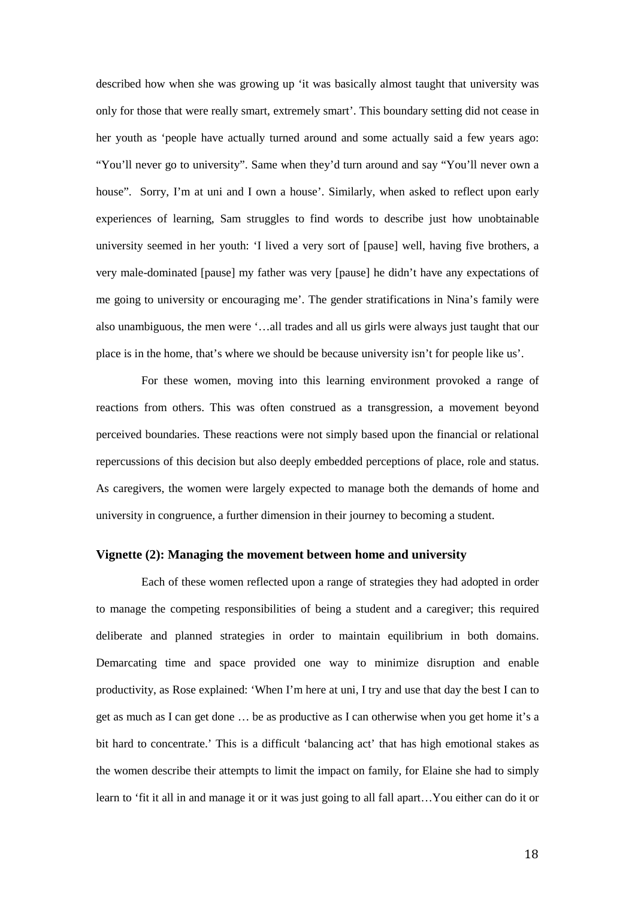described how when she was growing up 'it was basically almost taught that university was only for those that were really smart, extremely smart'. This boundary setting did not cease in her youth as 'people have actually turned around and some actually said a few years ago: "You'll never go to university". Same when they'd turn around and say "You'll never own a house". Sorry, I'm at uni and I own a house'. Similarly, when asked to reflect upon early experiences of learning, Sam struggles to find words to describe just how unobtainable university seemed in her youth: 'I lived a very sort of [pause] well, having five brothers, a very male-dominated [pause] my father was very [pause] he didn't have any expectations of me going to university or encouraging me'. The gender stratifications in Nina's family were also unambiguous, the men were '…all trades and all us girls were always just taught that our place is in the home, that's where we should be because university isn't for people like us'.

For these women, moving into this learning environment provoked a range of reactions from others. This was often construed as a transgression, a movement beyond perceived boundaries. These reactions were not simply based upon the financial or relational repercussions of this decision but also deeply embedded perceptions of place, role and status. As caregivers, the women were largely expected to manage both the demands of home and university in congruence, a further dimension in their journey to becoming a student.

#### **Vignette (2): Managing the movement between home and university**

Each of these women reflected upon a range of strategies they had adopted in order to manage the competing responsibilities of being a student and a caregiver; this required deliberate and planned strategies in order to maintain equilibrium in both domains. Demarcating time and space provided one way to minimize disruption and enable productivity, as Rose explained: 'When I'm here at uni, I try and use that day the best I can to get as much as I can get done … be as productive as I can otherwise when you get home it's a bit hard to concentrate.' This is a difficult 'balancing act' that has high emotional stakes as the women describe their attempts to limit the impact on family, for Elaine she had to simply learn to 'fit it all in and manage it or it was just going to all fall apart…You either can do it or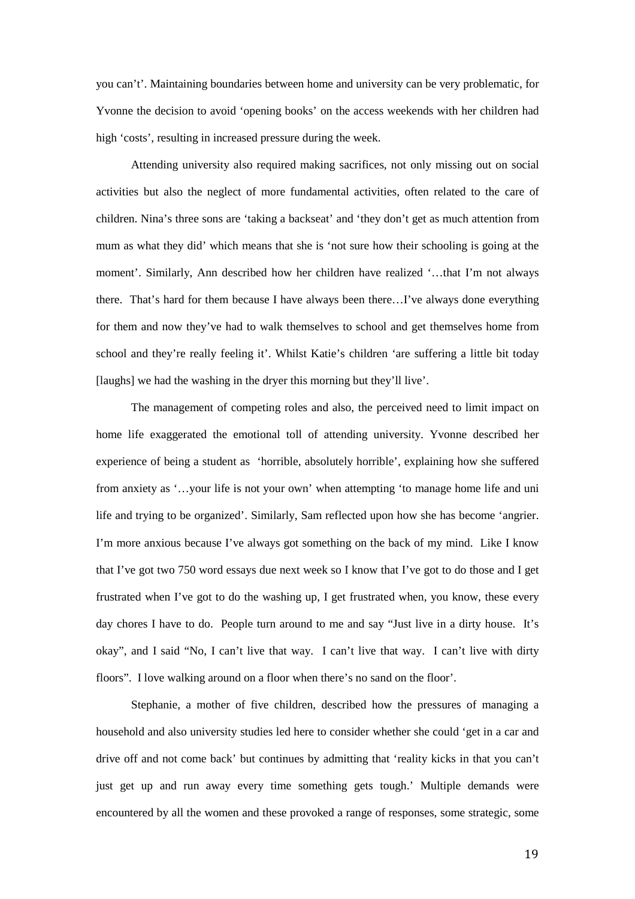you can't'. Maintaining boundaries between home and university can be very problematic, for Yvonne the decision to avoid 'opening books' on the access weekends with her children had high 'costs', resulting in increased pressure during the week.

Attending university also required making sacrifices, not only missing out on social activities but also the neglect of more fundamental activities, often related to the care of children. Nina's three sons are 'taking a backseat' and 'they don't get as much attention from mum as what they did' which means that she is 'not sure how their schooling is going at the moment'. Similarly, Ann described how her children have realized '…that I'm not always there. That's hard for them because I have always been there…I've always done everything for them and now they've had to walk themselves to school and get themselves home from school and they're really feeling it'. Whilst Katie's children 'are suffering a little bit today [laughs] we had the washing in the dryer this morning but they'll live'.

The management of competing roles and also, the perceived need to limit impact on home life exaggerated the emotional toll of attending university. Yvonne described her experience of being a student as 'horrible, absolutely horrible', explaining how she suffered from anxiety as '…your life is not your own' when attempting 'to manage home life and uni life and trying to be organized'. Similarly, Sam reflected upon how she has become 'angrier. I'm more anxious because I've always got something on the back of my mind. Like I know that I've got two 750 word essays due next week so I know that I've got to do those and I get frustrated when I've got to do the washing up, I get frustrated when, you know, these every day chores I have to do. People turn around to me and say "Just live in a dirty house. It's okay", and I said "No, I can't live that way. I can't live that way. I can't live with dirty floors". I love walking around on a floor when there's no sand on the floor'.

Stephanie, a mother of five children, described how the pressures of managing a household and also university studies led here to consider whether she could 'get in a car and drive off and not come back' but continues by admitting that 'reality kicks in that you can't just get up and run away every time something gets tough.' Multiple demands were encountered by all the women and these provoked a range of responses, some strategic, some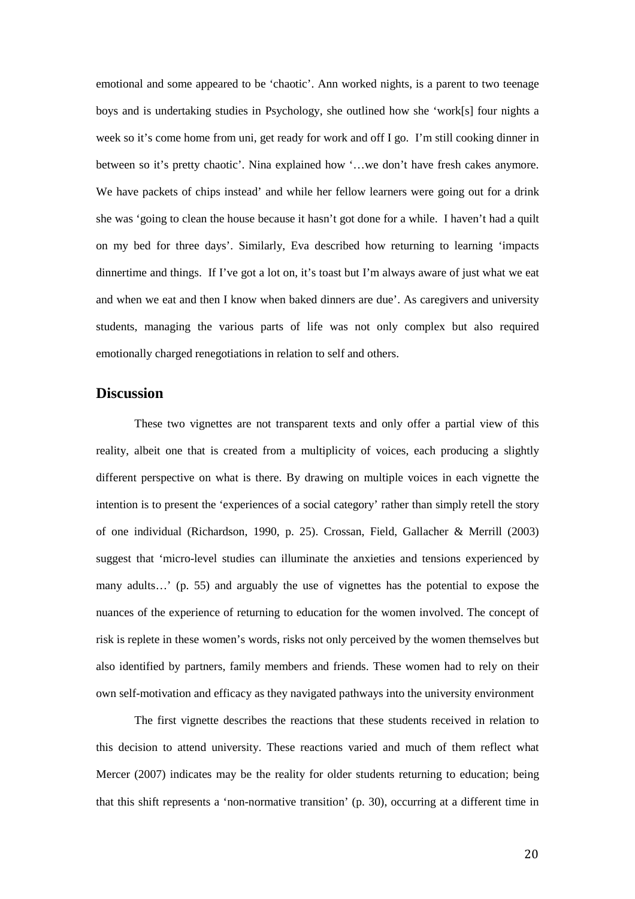emotional and some appeared to be 'chaotic'. Ann worked nights, is a parent to two teenage boys and is undertaking studies in Psychology, she outlined how she 'work[s] four nights a week so it's come home from uni, get ready for work and off I go. I'm still cooking dinner in between so it's pretty chaotic'. Nina explained how '…we don't have fresh cakes anymore. We have packets of chips instead' and while her fellow learners were going out for a drink she was 'going to clean the house because it hasn't got done for a while. I haven't had a quilt on my bed for three days'. Similarly, Eva described how returning to learning 'impacts dinnertime and things. If I've got a lot on, it's toast but I'm always aware of just what we eat and when we eat and then I know when baked dinners are due'. As caregivers and university students, managing the various parts of life was not only complex but also required emotionally charged renegotiations in relation to self and others.

## **Discussion**

These two vignettes are not transparent texts and only offer a partial view of this reality, albeit one that is created from a multiplicity of voices, each producing a slightly different perspective on what is there. By drawing on multiple voices in each vignette the intention is to present the 'experiences of a social category' rather than simply retell the story of one individual (Richardson, 1990, p. 25). Crossan, Field, Gallacher & Merrill (2003) suggest that 'micro-level studies can illuminate the anxieties and tensions experienced by many adults…' (p. 55) and arguably the use of vignettes has the potential to expose the nuances of the experience of returning to education for the women involved. The concept of risk is replete in these women's words, risks not only perceived by the women themselves but also identified by partners, family members and friends. These women had to rely on their own self-motivation and efficacy as they navigated pathways into the university environment

The first vignette describes the reactions that these students received in relation to this decision to attend university. These reactions varied and much of them reflect what Mercer (2007) indicates may be the reality for older students returning to education; being that this shift represents a 'non-normative transition' (p. 30), occurring at a different time in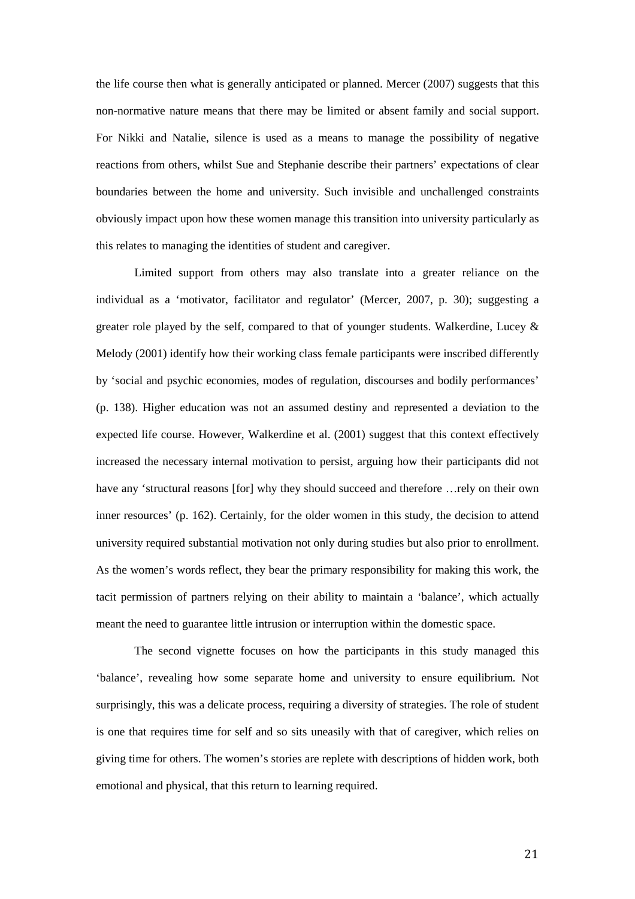the life course then what is generally anticipated or planned. Mercer (2007) suggests that this non-normative nature means that there may be limited or absent family and social support. For Nikki and Natalie, silence is used as a means to manage the possibility of negative reactions from others, whilst Sue and Stephanie describe their partners' expectations of clear boundaries between the home and university. Such invisible and unchallenged constraints obviously impact upon how these women manage this transition into university particularly as this relates to managing the identities of student and caregiver.

Limited support from others may also translate into a greater reliance on the individual as a 'motivator, facilitator and regulator' (Mercer, 2007, p. 30); suggesting a greater role played by the self, compared to that of younger students. Walkerdine, Lucey & Melody (2001) identify how their working class female participants were inscribed differently by 'social and psychic economies, modes of regulation, discourses and bodily performances' (p. 138). Higher education was not an assumed destiny and represented a deviation to the expected life course. However, Walkerdine et al. (2001) suggest that this context effectively increased the necessary internal motivation to persist, arguing how their participants did not have any 'structural reasons [for] why they should succeed and therefore ... rely on their own inner resources' (p. 162). Certainly, for the older women in this study, the decision to attend university required substantial motivation not only during studies but also prior to enrollment. As the women's words reflect, they bear the primary responsibility for making this work, the tacit permission of partners relying on their ability to maintain a 'balance', which actually meant the need to guarantee little intrusion or interruption within the domestic space.

The second vignette focuses on how the participants in this study managed this 'balance', revealing how some separate home and university to ensure equilibrium. Not surprisingly, this was a delicate process, requiring a diversity of strategies. The role of student is one that requires time for self and so sits uneasily with that of caregiver, which relies on giving time for others. The women's stories are replete with descriptions of hidden work, both emotional and physical, that this return to learning required.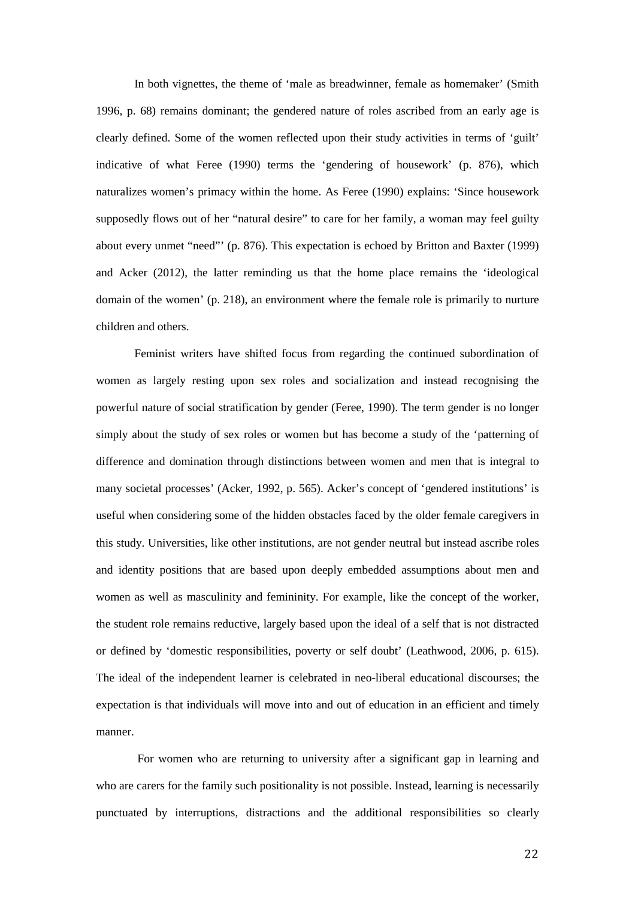In both vignettes, the theme of 'male as breadwinner, female as homemaker' (Smith 1996, p. 68) remains dominant; the gendered nature of roles ascribed from an early age is clearly defined. Some of the women reflected upon their study activities in terms of 'guilt' indicative of what Feree (1990) terms the 'gendering of housework' (p. 876), which naturalizes women's primacy within the home. As Feree (1990) explains: 'Since housework supposedly flows out of her "natural desire" to care for her family, a woman may feel guilty about every unmet "need"' (p. 876). This expectation is echoed by Britton and Baxter (1999) and Acker (2012), the latter reminding us that the home place remains the 'ideological domain of the women' (p. 218), an environment where the female role is primarily to nurture children and others.

Feminist writers have shifted focus from regarding the continued subordination of women as largely resting upon sex roles and socialization and instead recognising the powerful nature of social stratification by gender (Feree, 1990). The term gender is no longer simply about the study of sex roles or women but has become a study of the 'patterning of difference and domination through distinctions between women and men that is integral to many societal processes' (Acker, 1992, p. 565). Acker's concept of 'gendered institutions' is useful when considering some of the hidden obstacles faced by the older female caregivers in this study. Universities, like other institutions, are not gender neutral but instead ascribe roles and identity positions that are based upon deeply embedded assumptions about men and women as well as masculinity and femininity. For example, like the concept of the worker, the student role remains reductive, largely based upon the ideal of a self that is not distracted or defined by 'domestic responsibilities, poverty or self doubt' (Leathwood, 2006, p. 615). The ideal of the independent learner is celebrated in neo-liberal educational discourses; the expectation is that individuals will move into and out of education in an efficient and timely manner.

For women who are returning to university after a significant gap in learning and who are carers for the family such positionality is not possible. Instead, learning is necessarily punctuated by interruptions, distractions and the additional responsibilities so clearly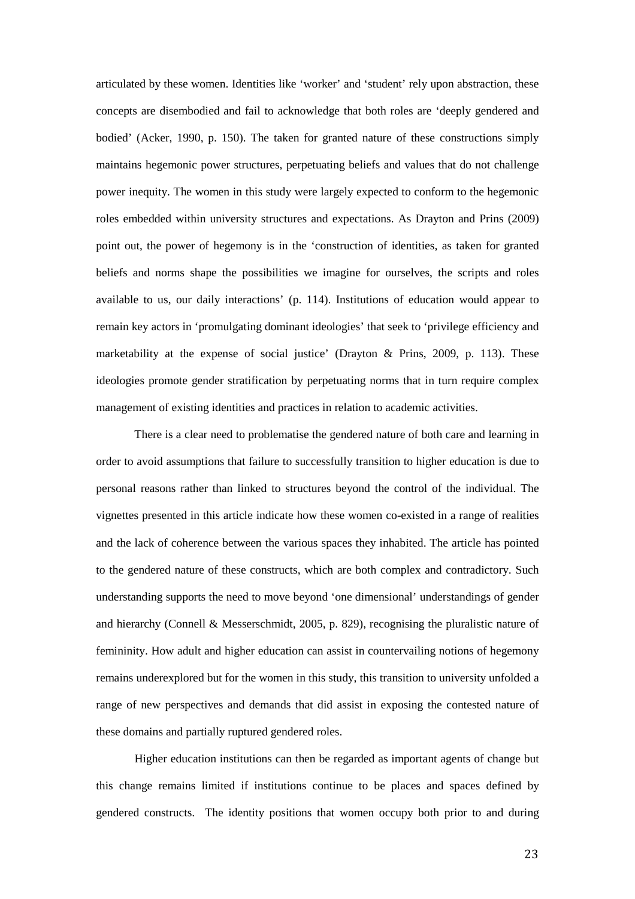articulated by these women. Identities like 'worker' and 'student' rely upon abstraction, these concepts are disembodied and fail to acknowledge that both roles are 'deeply gendered and bodied' (Acker, 1990, p. 150). The taken for granted nature of these constructions simply maintains hegemonic power structures, perpetuating beliefs and values that do not challenge power inequity. The women in this study were largely expected to conform to the hegemonic roles embedded within university structures and expectations. As Drayton and Prins (2009) point out, the power of hegemony is in the 'construction of identities, as taken for granted beliefs and norms shape the possibilities we imagine for ourselves, the scripts and roles available to us, our daily interactions' (p. 114). Institutions of education would appear to remain key actors in 'promulgating dominant ideologies' that seek to 'privilege efficiency and marketability at the expense of social justice' (Drayton & Prins, 2009, p. 113). These ideologies promote gender stratification by perpetuating norms that in turn require complex management of existing identities and practices in relation to academic activities.

There is a clear need to problematise the gendered nature of both care and learning in order to avoid assumptions that failure to successfully transition to higher education is due to personal reasons rather than linked to structures beyond the control of the individual. The vignettes presented in this article indicate how these women co-existed in a range of realities and the lack of coherence between the various spaces they inhabited. The article has pointed to the gendered nature of these constructs, which are both complex and contradictory. Such understanding supports the need to move beyond 'one dimensional' understandings of gender and hierarchy (Connell & Messerschmidt, 2005, p. 829), recognising the pluralistic nature of femininity. How adult and higher education can assist in countervailing notions of hegemony remains underexplored but for the women in this study, this transition to university unfolded a range of new perspectives and demands that did assist in exposing the contested nature of these domains and partially ruptured gendered roles.

Higher education institutions can then be regarded as important agents of change but this change remains limited if institutions continue to be places and spaces defined by gendered constructs. The identity positions that women occupy both prior to and during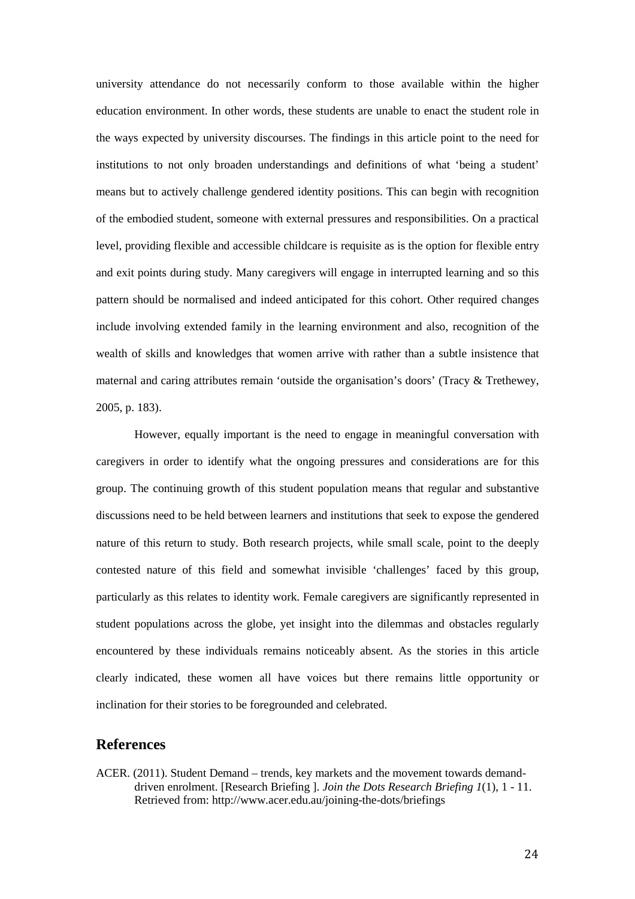university attendance do not necessarily conform to those available within the higher education environment. In other words, these students are unable to enact the student role in the ways expected by university discourses. The findings in this article point to the need for institutions to not only broaden understandings and definitions of what 'being a student' means but to actively challenge gendered identity positions. This can begin with recognition of the embodied student, someone with external pressures and responsibilities. On a practical level, providing flexible and accessible childcare is requisite as is the option for flexible entry and exit points during study. Many caregivers will engage in interrupted learning and so this pattern should be normalised and indeed anticipated for this cohort. Other required changes include involving extended family in the learning environment and also, recognition of the wealth of skills and knowledges that women arrive with rather than a subtle insistence that maternal and caring attributes remain 'outside the organisation's doors' (Tracy & Trethewey, 2005, p. 183).

However, equally important is the need to engage in meaningful conversation with caregivers in order to identify what the ongoing pressures and considerations are for this group. The continuing growth of this student population means that regular and substantive discussions need to be held between learners and institutions that seek to expose the gendered nature of this return to study. Both research projects, while small scale, point to the deeply contested nature of this field and somewhat invisible 'challenges' faced by this group, particularly as this relates to identity work. Female caregivers are significantly represented in student populations across the globe, yet insight into the dilemmas and obstacles regularly encountered by these individuals remains noticeably absent. As the stories in this article clearly indicated, these women all have voices but there remains little opportunity or inclination for their stories to be foregrounded and celebrated.

## **References**

ACER. (2011). Student Demand – trends, key markets and the movement towards demanddriven enrolment. [Research Briefing ]. *Join the Dots Research Briefing 1*(1), 1 - 11. Retrieved from: http://www.acer.edu.au/joining-the-dots/briefings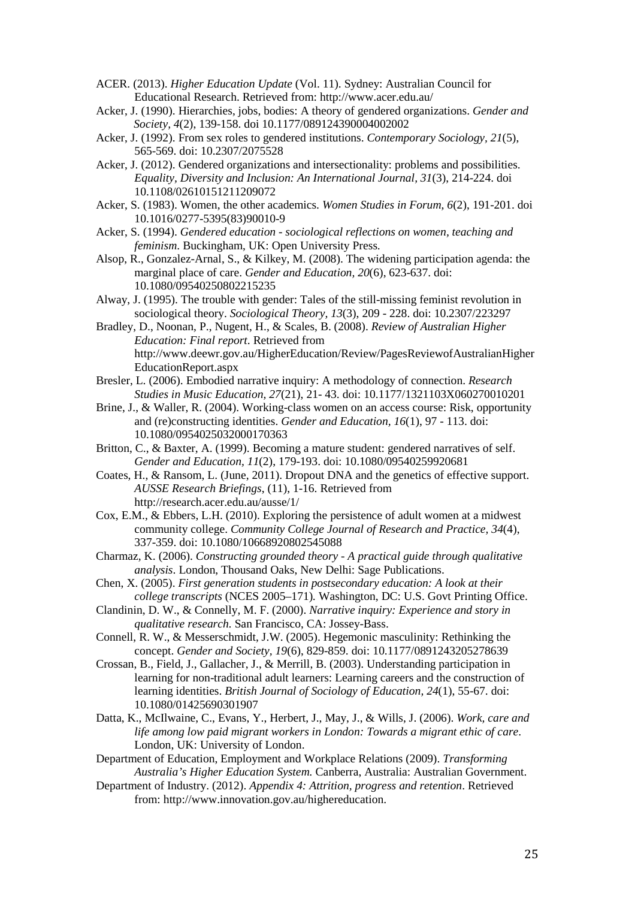- ACER. (2013). *Higher Education Update* (Vol. 11). Sydney: Australian Council for Educational Research. Retrieved from: http://www.acer.edu.au/
- Acker, J. (1990). Hierarchies, jobs, bodies: A theory of gendered organizations. *Gender and Society, 4*(2), 139-158. doi 10.1177/089124390004002002
- Acker, J. (1992). From sex roles to gendered institutions. *Contemporary Sociology, 21*(5), 565-569. doi: 10.2307/2075528
- Acker, J. (2012). Gendered organizations and intersectionality: problems and possibilities. *Equality, Diversity and Inclusion: An International Journal, 31*(3), 214-224. doi 10.1108/02610151211209072
- Acker, S. (1983). Women, the other academics. *Women Studies in Forum, 6*(2), 191-201. doi 10.1016/0277-5395(83)90010-9
- Acker, S. (1994). *Gendered education - sociological reflections on women, teaching and feminism*. Buckingham, UK: Open University Press.
- Alsop, R., Gonzalez-Arnal, S., & Kilkey, M. (2008). The widening participation agenda: the marginal place of care. *Gender and Education, 20*(6), 623-637. doi: 10.1080/09540250802215235
- Alway, J. (1995). The trouble with gender: Tales of the still-missing feminist revolution in sociological theory. *Sociological Theory, 13*(3), 209 - 228. doi: 10.2307/223297

Bradley, D., Noonan, P., Nugent, H., & Scales, B. (2008). *Review of Australian Higher Education: Final report*. Retrieved from http://www.deewr.gov.au/HigherEducation/Review/PagesReviewofAustralianHigher EducationReport.aspx

- Bresler, L. (2006). Embodied narrative inquiry: A methodology of connection. *Research Studies in Music Education, 27*(21), 21- 43. doi: 10.1177/1321103X060270010201
- Brine, J., & Waller, R. (2004). Working-class women on an access course: Risk, opportunity and (re)constructing identities. *Gender and Education, 16*(1), 97 - 113. doi: 10.1080/0954025032000170363
- Britton, C., & Baxter, A. (1999). Becoming a mature student: gendered narratives of self. *Gender and Education, 11*(2), 179-193. doi: 10.1080/09540259920681
- Coates, H., & Ransom, L. (June, 2011). Dropout DNA and the genetics of effective support. *AUSSE Research Briefings*, (11), 1-16. Retrieved from http://research.acer.edu.au/ausse/1/
- Cox, E.M., & Ebbers, L.H. (2010). Exploring the persistence of adult women at a midwest community college. *Community College Journal of Research and Practice, 34*(4), 337-359. doi: 10.1080/10668920802545088
- Charmaz, K. (2006). *Constructing grounded theory - A practical guide through qualitative analysis*. London, Thousand Oaks, New Delhi: Sage Publications.
- Chen, X. (2005). *First generation students in postsecondary education: A look at their college transcripts* (NCES 2005–171)*.* Washington, DC: U.S. Govt Printing Office.
- Clandinin, D. W., & Connelly, M. F. (2000). *Narrative inquiry: Experience and story in qualitative research.* San Francisco, CA: Jossey-Bass.
- Connell, R. W., & Messerschmidt, J.W. (2005). Hegemonic masculinity: Rethinking the concept. *Gender and Society, 19*(6), 829-859. doi: 10.1177/0891243205278639
- Crossan, B., Field, J., Gallacher, J., & Merrill, B. (2003). Understanding participation in learning for non-traditional adult learners: Learning careers and the construction of learning identities. *British Journal of Sociology of Education, 24*(1), 55-67. doi: 10.1080/01425690301907
- Datta, K., McIlwaine, C., Evans, Y., Herbert, J., May, J., & Wills, J. (2006). *Work, care and life among low paid migrant workers in London: Towards a migrant ethic of care*. London, UK: University of London.
- Department of Education, Employment and Workplace Relations (2009). *Transforming Australia's Higher Education System.* Canberra, Australia: Australian Government.
- Department of Industry. (2012). *Appendix 4: Attrition, progress and retention*. Retrieved from: http://www.innovation.gov.au/highereducation.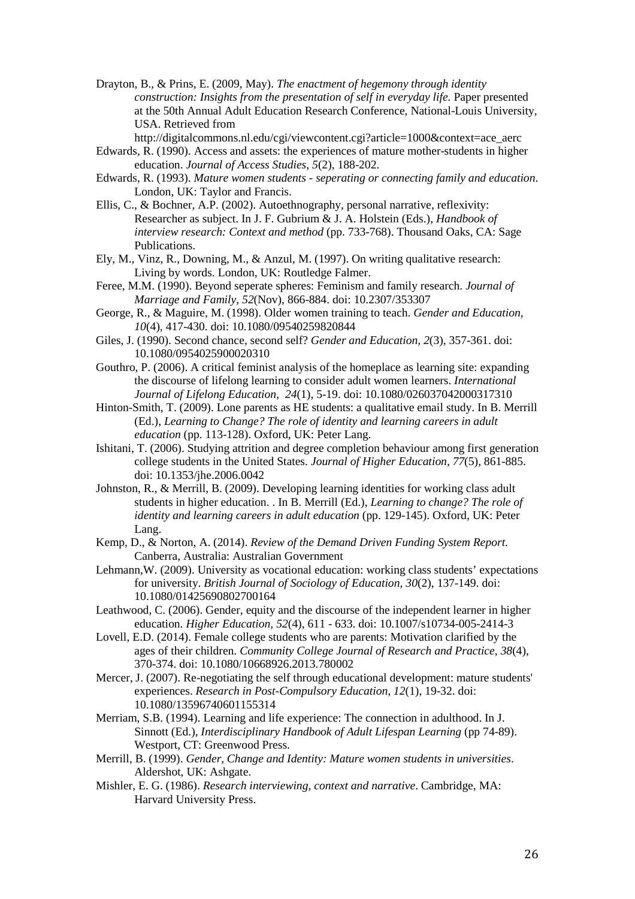Drayton, B., & Prins, E. (2009, May). *The enactment of hegemony through identity construction: Insights from the presentation of self in everyday life.* Paper presented at the 50th Annual Adult Education Research Conference, National-Louis University, USA. Retrieved from

http://digitalcommons.nl.edu/cgi/viewcontent.cgi?article=1000&context=ace\_aerc

- Edwards, R. (1990). Access and assets: the experiences of mature mother-students in higher education. *Journal of Access Studies, 5*(2), 188-202.
- Edwards, R. (1993). *Mature women students - seperating or connecting family and education*. London, UK: Taylor and Francis.
- Ellis, C., & Bochner, A.P. (2002). Autoethnography, personal narrative, reflexivity: Researcher as subject. In J. F. Gubrium & J. A. Holstein (Eds.), *Handbook of interview research: Context and method* (pp. 733-768). Thousand Oaks, CA: Sage Publications.
- Ely, M., Vinz, R., Downing, M., & Anzul, M. (1997). On writing qualitative research: Living by words. London, UK: Routledge Falmer.
- Feree, M.M. (1990). Beyond seperate spheres: Feminism and family research. *Journal of Marriage and Family, 52*(Nov), 866-884. doi: 10.2307/353307
- George, R., & Maguire, M. (1998). Older women training to teach. *Gender and Education, 10*(4), 417-430. doi: 10.1080/09540259820844
- Giles, J. (1990). Second chance, second self? *Gender and Education, 2*(3), 357-361. doi: 10.1080/0954025900020310
- Gouthro, P. (2006). A critical feminist analysis of the homeplace as learning site: expanding the discourse of lifelong learning to consider adult women learners. *International Journal of Lifelong Education, 24*(1), 5-19. doi: 10.1080/026037042000317310
- Hinton-Smith, T. (2009). Lone parents as HE students: a qualitative email study. In B. Merrill (Ed.), *Learning to Change? The role of identity and learning careers in adult education* (pp. 113-128). Oxford, UK: Peter Lang.
- Ishitani, T. (2006). Studying attrition and degree completion behaviour among first generation college students in the United States. *Journal of Higher Education, 77*(5), 861-885. doi: 10.1353/jhe.2006.0042
- Johnston, R., & Merrill, B. (2009). Developing learning identities for working class adult students in higher education. . In B. Merrill (Ed.), *Learning to change? The role of identity and learning careers in adult education* (pp. 129-145). Oxford, UK: Peter Lang.
- Kemp, D., & Norton, A. (2014). *Review of the Demand Driven Funding System Report*. Canberra, Australia: Australian Government
- Lehmann,W. (2009). University as vocational education: working class students' expectations for university. *British Journal of Sociology of Education*, *30*(2), 137-149. doi: 10.1080/01425690802700164
- Leathwood, C. (2006). Gender, equity and the discourse of the independent learner in higher education. *Higher Education, 52*(4), 611 - 633. doi: 10.1007/s10734-005-2414-3
- Lovell, E.D. (2014). Female college students who are parents: Motivation clarified by the ages of their children. *Community College Journal of Research and Practice, 38*(4), 370-374. doi: 10.1080/10668926.2013.780002
- Mercer, J. (2007). Re-negotiating the self through educational development: mature students' experiences. *Research in Post-Compulsory Education, 12*(1), 19-32. doi: 10.1080/13596740601155314
- Merriam, S.B. (1994). Learning and life experience: The connection in adulthood. In J. Sinnott (Ed.), *Interdisciplinary Handbook of Adult Lifespan Learning* (pp 74-89). Westport, CT: Greenwood Press.
- Merrill, B. (1999). *Gender, Change and Identity: Mature women students in universities*. Aldershot, UK: Ashgate.
- Mishler, E. G. (1986). *Research interviewing, context and narrative*. Cambridge, MA: Harvard University Press.